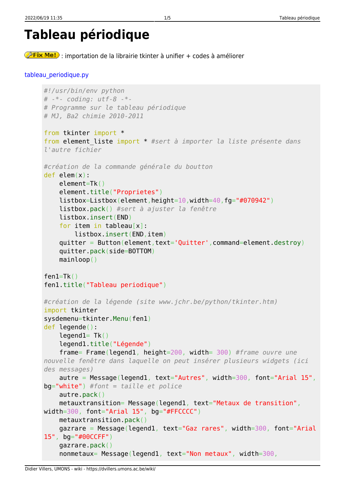```
Tableau périodique
```
**Eix Me!**: importation de la librairie tkinter à unifier + codes à améliorer

```
tableau_periodique.py
```

```
#!/usr/bin/env python
# -*- coding: utf-8 -*-
# Programme sur le tableau périodique
# MJ, Ba2 chimie 2010-2011
from tkinter import *
from element_liste import * #sert à importer la liste présente dans
l'autre fichier
#création de la commande générale du boutton
def elem(x):
     element=Tk()
     element.title("Proprietes")
     listbox=Listbox(element,height=10,width=40,fg="#070942")
     listbox.pack() #sert à ajuster la fenêtre
     listbox.insert(END)
     for item in tableau[x]:
         listbox.insert(END,item)
     quitter = Button(element,text='Quitter',command=element.destroy)
     quitter.pack(side=BOTTOM)
     mainloop()
fen1=Tk()
fen1.title("Tableau periodique")
#création de la légende (site www.jchr.be/python/tkinter.htm)
import tkinter
sysdemenu=tkinter.Menu(fen1)
def legende():
    leqend1= Tk() legend1.title("Légende")
     frame= Frame(legend1, height=200, width= 300) #frame ouvre une
nouvelle fenêtre dans laquelle on peut insérer plusieurs widgets (ici
des messages)
    \text{autre} = \text{Message}(\text{legend1}, \text{text} = "Autres", \text{width}=300, \text{font} = "Arid1 15",bg="white") #font = taille et police
     autre.pack()
    metauxtransition= Message(legend1, text="Metaux de transition",
width=300, font="Arial 15", bg="#FFCCCC")
     metauxtransition.pack()
    gazrare = Message(legend1, text="Gaz rares", width=300, font="Arial
15", bg="#00CCFF")
     gazrare.pack()
    nonmetaux= Message(legend1, text="Non metaux", width=300,
```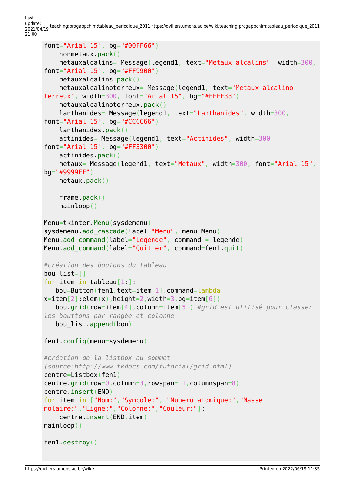Last update: 2021/04/19 teaching:progappchim:tableau\_periodique\_2011 https://dvillers.umons.ac.be/wiki/teaching:progappchim:tableau\_periodique\_2011 21:00

```
font="Arial 15", bg="#00FF66")
     nonmetaux.pack()
     metauxalcalins= Message(legend1, text="Metaux alcalins", width=300,
font="Arial 15", bg="#FF9900")
     metauxalcalins.pack()
     metauxalcalinoterreux= Message(legend1, text="Metaux alcalino
terreux", width=300, font="Arial 15", bg="#FFFF33")
     metauxalcalinoterreux.pack()
     lanthanides= Message(legend1, text="Lanthanides", width=300,
font="Arial 15", bg="#CCCC66")
     lanthanides.pack()
     actinides= Message(legend1, text="Actinides", width=300,
font="Arial 15", bg="#FF3300")
     actinides.pack()
     metaux= Message(legend1, text="Metaux", width=300, font="Arial 15",
bg="#9999FF")
     metaux.pack()
     frame.pack()
     mainloop()
Menu=tkinter.Menu(sysdemenu)
sysdemenu.add_cascade(label="Menu", menu=Menu)
Menu.add_command(label="Legende", command = legende)
Menu.add command(label="Quitter", command=fen1.quit)
#création des boutons du tableau
bou_list=[]
for item in tableau<sup>[1:1:1</sup>]
    bou=Button(fen1,text=item[1],command=lambda
x=item[2]:elem(x), height=2, width=3, bg=item[6])
    bou.grid(row=item[4],column=item[5]) #grid est utilisé pour classer
les bouttons par rangée et colonne
    bou_list.append(bou)
fen1.config(menu=sysdemenu)
#création de la listbox au sommet
(source:http://www.tkdocs.com/tutorial/grid.html)
centre=Listbox(fen1)
centre.grid(row=0, column=3, rowspan= 1, columnspan=8)
centre.insert(END)
for item in ["Nom:","Symbole:", "Numero atomique:","Masse
molaire:","Ligne:","Colonne:","Couleur:"]:
     centre.insert(END,item)
mainloop()
fen1.destroy()
```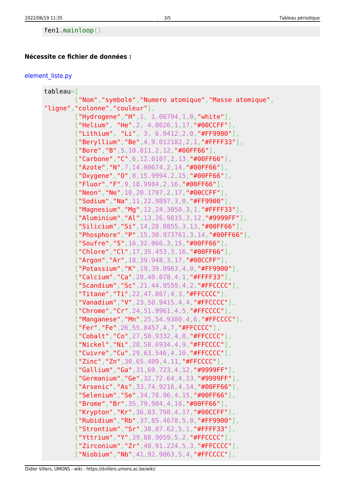## **Nécessite ce fichier de données :**

## [element\\_liste.py](https://dvillers.umons.ac.be/wiki/_export/code/teaching:progappchim:tableau_periodique_2011?codeblock=1)

| $tableau =$ [                                            |
|----------------------------------------------------------|
| ["Nom","symbole","Numero atomique","Masse atomique",     |
| "ligne", "colonne", "couleur"],                          |
| $[$ "Hydrogene", "H", 1, 1.00794, 1, 0, "white"],        |
| ["Helium", "He", 2, 4.0026, 1, 17, "#00CCFF"],           |
| $['Lithium", "Li", 3, 6.9412, 2, 0, "#FF9900"],$         |
| $['Beryllium", "Be", 4, 9.012182, 2, 1, "#FFFF33"]$ ,    |
| $['Bore", "B", 5, 10.811, 2, 12, "#00FF66"],$            |
| $['Carloone", "C", 6, 12.0107, 2, 13, "#00FF66"]$        |
| $["Azote", "N", 7, 14.00674, 2, 14, "#00FF66"]$ ,        |
| $[$ "0xygene", "0", 8, 15, 9994, 2, 15, "#00FF66"],      |
| $['Fluor", "F", 9, 18.9984, 2, 16, "#00FF66"]$           |
| $[$ "Neon", "Ne", 10, 20. 1797, 2, 17, "#00CCFF"],       |
| $['Sodium", "Na", 11, 22.9897, 3, 0, "#FF9900"],$        |
| $[$ "Magnesium", "Mg", 12, 24.3050, 3, 1, "#FFFF33"],    |
| ["Aluminium", "Al", 13, 26. 9815, 3, 12, "#9999FF"],     |
| $['Silicium", "Si", 14, 28.0855, 3, 13, "#00FF66"]$      |
| ["Phosphore", "P", 15, 30.973761, 3, 14, "#00FF66"],     |
| ["Soufre", "S", 16, 32.066, 3, 15, "#00FF66"],           |
| $["Chlore", "Cl", 17, 35, 453, 3, 16, "#00FF66"]$ ,      |
| $[$ "Argon", "Ar", 18, 39.948, 3, 17, "#00CCFF"],        |
| $["Potassim", "K", 19, 39.0963, 4, 0," #FF9900" ]$       |
| $["Calcium", "Ca", 20, 40.078, 4, 1, "#FFFF33"],$        |
| $[$ "Scandium", "Sc", 21, 44.9559, 4, 2, "#FFCCCC"],     |
| $[$ "Titane", "Ti", 22, 47.867, 4, 3, "#FFCCCC"],        |
| ["Vanadium", "V", 23, 50.9415, 4, 4, "#FFCCCC"],         |
| $["Chrome", "Cr", 24, 51.9961, 4, 5, "#FFCCCC"]$ ,       |
| ["Manganese", "Mn", 25, 54.9380, 4, 6, "#FFCCCC"],       |
| ["Fer", "Fe", 26, 55, 8457, 4, 7, "#FFCCCC"],            |
| $[''Cobalt'', 'Co'', 27, 58.9332, 4, 8, "#FFCCCC'']$ ,   |
| ["Nickel", "Ni", 28, 58. 6934, 4, 9, "#FFCCCC"],         |
| $[$ "Cuivre", "Cu", 29, 63.546, 4, 10, "#FFCCCC"],       |
| $[''Zinc", "Zn", 30, 65.409, 4, 11, " \# FFCCCC", ]$     |
| $\lceil$ "Gallium", "Ga", 31, 69.723, 4, 12, "#9999FF"], |
| ["Germanium", "Ge", 32, 72.64, 4, 13, "#9999FF"],        |
| $[$ "Arsenic", "As", 33, 74.9216, 4, 14, "#00FF66"],     |
| $['Selenium", "Se", 34, 78.96, 4, 15, "#00FF66"]$        |
| $["Brome", "Br", 35, 79.904, 4, 16, "#00FF66"]$ ,        |
| $[$ "Krypton", "Kr", 36, 83.798, 4, 17, "#00CCFF"],      |
| $["Rubidium", "Rb", 37, 85.4678, 5, 0," #FF9900" ]$ ,    |
| $['Strontium", "Sr", 38, 87.62, 5, 1, "#FFFF33"]$ ,      |
| $['Yttrium", "Y", 39, 88.9059, 5, 2, "{\#FFCCCC"}],$     |
| $['Zircoin", "Zr", 40, 91.224, 5, 3, "#FFCCCC"]$ ,       |
| $["Niobium", "Nb", 41, 92.9063, 5, 4, "{\#FFCCCC",}],$   |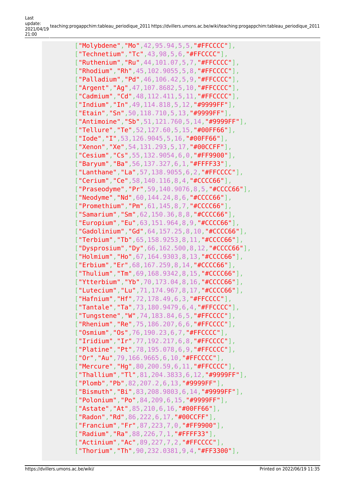["Molybdene","Mo", 42, 95.94, 5, 5, "#FFCCCC"], ["Technetium","Tc",43,98,5,6,"#FFCCCC"], ["Ruthenium","Ru",44,101.07,5,7,"#FFCCCC"], ["Rhodium","Rh",45,102.9055,5,8,"#FFCCCC"], ["Palladium","Pd",46,106.42,5,9,"#FFCCCC"], ["Argent","Ag",47,107.8682,5,10,"#FFCCCC"], ["Cadmium", "Cd", 48, 112.411, 5, 11, "#FFCCCC"], ["Indium", "In", 49, 114, 818, 5, 12, "#9999FF"], ["Etain","Sn",50,118.710,5,13,"#9999FF"], ["Antimoine", "Sb", 51, 121.760, 5, 14, "#9999FF"], ["Tellure","Te",52,127.60,5,15,"#00FF66"], ["**Iode", "I", 53, 126.9045, 5, 16, "#00FF66"**], ["Xenon","Xe",54,131.293,5,17,"#00CCFF"], ["Cesium","Cs",55,132.9054,6,0,"#FF9900"], ["Baryum", "Ba", 56, 137, 327, 6, 1, "#FFFF33"], ["Lanthane","La",57,138.9055,6,2,"#FFCCCC"], ["Cerium","Ce",58,140.116,8,4,"#CCCC66"], ["Praseodyme","Pr",59,140.9076,8,5,"#CCCC66"], ["Neodyme","Nd",60,144.24,8,6,"#CCCC66"], ["Promethium","Pm",61,145,8,7,"#CCCC66"], ["Samarium", "Sm", 62, 150.36, 8, 8, "#CCCC66"], ["Europium","Eu",63,151.964,8,9,"#CCCC66"], ["Gadolinium","Gd",64,157.25,8,10,"#CCCC66"], ["Terbium", "Tb", 65, 158.9253, 8, 11, "#CCCC66"], ["Dysprosium","Dy",66,162.500,8,12,"#CCCC66"], ["Holmium", "Ho", 67, 164.9303, 8, 13, "#CCCC66"], ["Erbium","Er", 68, 167. 259, 8, 14, "#CCCC66"], ["Thulium","Tm",69,168.9342,8,15,"#CCCC66"], ["Ytterbium", "Yb", 70, 173, 04, 8, 16, "#CCCC66"], ["Lutecium","Lu",71,174.967,8,17,"#CCCC66"], ["Hafnium", "Hf", 72, 178.49, 6, 3, "#FFCCCC"], ["Tantale", "Ta", 73, 180.9479, 6, 4, "#FFCCCC"], ["Tungstene", "W", 74, 183.84, 6, 5, "#FFCCCC"], ["Rhenium","Re",75,186.207,6,6,"#FFCCCC"], ["Osmium","Os",76,190.23,6,7,"#FFCCCC"], ["Iridium","Ir",77,192.217,6,8,"#FFCCCC"], ["Platine","Pt",78,195.078,6,9,"#FFCCCC"], ["Or","Au",79,166.9665,6,10,"#FFCCCC"], ["Mercure","Hg",80,200.59,6,11,"#FFCCCC"], ["Thallium","Tl",81,204.3833,6,12,"#9999FF"], ["Plomb","Pb",82,207.2,6,13,"#9999FF"], ["Bismuth","Bi",83,208.9803,6,14,"#9999FF"], ["Polonium", "Po", 84, 209, 6, 15, "#9999FF"], ["Astate", "At", 85, 210, 6, 16, "#00FF66"], ["Radon", "Rd", 86, 222, 6, 17, "#00CCFF"]. ["Francium","Fr",87,223,7,0,"#FF9900"], ["Radium","Ra",88,226,7,1,"#FFFF33"], ["Actinium","Ac",89,227,7,2,"#FFCCCC"], ["Thorium","Th",90,232.0381,9,4,"#FF3300"],